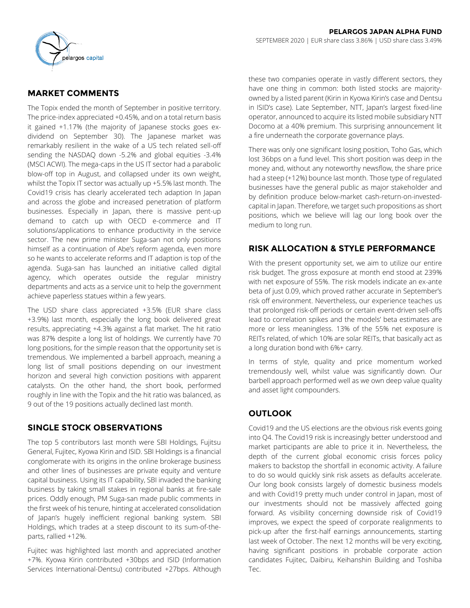

# **MARKET COMMENTS**

The Topix ended the month of September in positive territory. The price-index appreciated +0.45%, and on a total return basis it gained +1.17% (the majority of Japanese stocks goes exdividend on September 30). The Japanese market was remarkably resilient in the wake of a US tech related sell-off sending the NASDAQ down -5.2% and global equities -3.4% (MSCI ACWI). The mega-caps in the US IT sector had a parabolic blow-off top in August, and collapsed under its own weight, whilst the Topix IT sector was actually up +5.5% last month. The Covid19 crisis has clearly accelerated tech adaption In Japan and across the globe and increased penetration of platform businesses. Especially in Japan, there is massive pent-up demand to catch up with OECD e-commerce and IT solutions/applications to enhance productivity in the service sector. The new prime minister Suga-san not only positions himself as a continuation of Abe's reform agenda, even more so he wants to accelerate reforms and IT adaption is top of the agenda. Suga-san has launched an initiative called digital agency, which operates outside the regular ministry departments and acts as a service unit to help the government achieve paperless statues within a few years.

The USD share class appreciated +3.5% (EUR share class +3.9%) last month, especially the long book delivered great results, appreciating +4.3% against a flat market. The hit ratio was 87% despite a long list of holdings. We currently have 70 long positions, for the simple reason that the opportunity set is tremendous. We implemented a barbell approach, meaning a long list of small positions depending on our investment horizon and several high conviction positions with apparent catalysts. On the other hand, the short book, performed roughly in line with the Topix and the hit ratio was balanced, as 9 out of the 19 positions actually declined last month.

## **SINGLE STOCK OBSERVATIONS**

The top 5 contributors last month were SBI Holdings, Fujitsu General, Fujitec, Kyowa Kirin and ISID. SBI Holdings is a financial conglomerate with its origins in the online brokerage business and other lines of businesses are private equity and venture capital business. Using its IT capability, SBI invaded the banking business by taking small stakes in regional banks at fire-sale prices. Oddly enough, PM Suga-san made public comments in the first week of his tenure, hinting at accelerated consolidation of Japan's hugely inefficient regional banking system. SBI Holdings, which trades at a steep discount to its sum-of-theparts, rallied +12%.

Fujitec was highlighted last month and appreciated another +7%. Kyowa Kirin contributed +30bps and ISID (Information Services International-Dentsu) contributed +27bps. Although these two companies operate in vastly different sectors, they have one thing in common: both listed stocks are majorityowned by a listed parent (Kirin in Kyowa Kirin's case and Dentsu in ISID's case). Late September, NTT, Japan's largest fixed-line operator, announced to acquire its listed mobile subsidiary NTT Docomo at a 40% premium. This surprising announcement lit a fire underneath the corporate governance plays.

There was only one significant losing position, Toho Gas, which lost 36bps on a fund level. This short position was deep in the money and, without any noteworthy newsflow, the share price had a steep (+12%) bounce last month. Those type of regulated businesses have the general public as major stakeholder and by definition produce below-market cash-return-on-investedcapital in Japan. Therefore, we target such propositions as short positions, which we believe will lag our long book over the medium to long run.

# **RISK ALLOCATION & STYLE PERFORMANCE**

With the present opportunity set, we aim to utilize our entire risk budget. The gross exposure at month end stood at 239% with net exposure of 55%. The risk models indicate an ex-ante beta of just 0.09, which proved rather accurate in September's risk off environment. Nevertheless, our experience teaches us that prolonged risk-off periods or certain event-driven sell-offs lead to correlation spikes and the models' beta estimates are more or less meaningless. 13% of the 55% net exposure is REITs related, of which 10% are solar REITs, that basically act as a long duration bond with 6%+ carry.

In terms of style, quality and price momentum worked tremendously well, whilst value was significantly down. Our barbell approach performed well as we own deep value quality and asset light compounders.

## **OUTLOOK**

Covid19 and the US elections are the obvious risk events going into Q4. The Covid19 risk is increasingly better understood and market participants are able to price it in. Nevertheless, the depth of the current global economic crisis forces policy makers to backstop the shortfall in economic activity. A failure to do so would quickly sink risk assets as defaults accelerate. Our long book consists largely of domestic business models and with Covid19 pretty much under control in Japan, most of our investments should not be massively affected going forward. As visibility concerning downside risk of Covid19 improves, we expect the speed of corporate realignments to pick-up after the first-half earnings announcements, starting last week of October. The next 12 months will be very exciting, having significant positions in probable corporate action candidates Fujitec, Daibiru, Keihanshin Building and Toshiba Tec.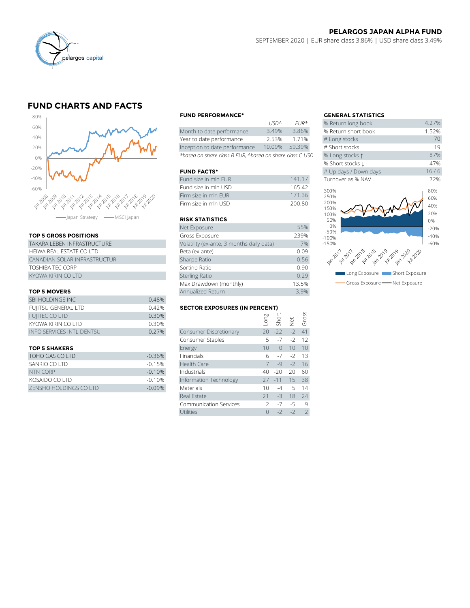

# **FUND CHARTS AND FACTS**



### **TOP 5 GROSS POSITIONS**

| TAKARA I FBFN INFRASTRUCTURF | Volatility (ex-ante; 3 months daily data) |
|------------------------------|-------------------------------------------|
| HEIWA REAL ESTATE CO LTD     | Beta (ex-ante)                            |
| CANADIAN SOLAR INFRASTRUCTUR | Sharpe Ratio                              |
| <b>TOSHIBA TEC CORP</b>      | Sortino Ratio                             |
| KYOWA KIRIN CO LTD           | <b>Sterling Ratio</b>                     |

### **TOP 5 MOVERS**

|                                  |       | Max Drawdown (monthly)               |                          |               | 13.5%        |         |
|----------------------------------|-------|--------------------------------------|--------------------------|---------------|--------------|---------|
| <b>TOP 5 MOVERS</b>              |       | Annualized Return                    |                          | 3.9%          |              |         |
| SBI HOLDINGS INC                 | 0.48% |                                      |                          |               |              |         |
| FUJITSU GENERAL LTD              | 0.42% | <b>SECTOR EXPOSURES (IN PERCENT)</b> |                          |               |              |         |
| <b>FUIITEC CO LTD</b>            | 0.30% |                                      |                          | Long<br>Short | Net<br>Gross |         |
| KYOWA KIRIN CO LTD               | 0.30% |                                      |                          |               |              |         |
| <b>INFO SERVICES INTL DENTSU</b> | 0.27% | Consumer Discretionary               |                          | $20 - 22$     |              | $-2$ 41 |
|                                  |       | Consumer Staples                     | $\overline{\phantom{a}}$ | $-7$          |              | $-2$ 12 |
|                                  |       |                                      |                          |               |              |         |

| TOHO GAS CO LTD        | $-0.36\%$ |
|------------------------|-----------|
| SANRIO CO LTD          | $-0.15%$  |
| NTN CORP               | $-0.10%$  |
| KOSAIDO CO LTD         | $-0.10%$  |
| ZENSHO HOLDINGS CO LTD | $-0.09%$  |

#### **FUND PERFORMANCE\* GENERAL STATISTICS**

|                                                          | 11517''         | FUK <sup>"</sup> | % Return iong DOOK  |
|----------------------------------------------------------|-----------------|------------------|---------------------|
| Month to date performance                                | 3.49%           | 3.86%            | % Return short book |
| Year to date performance                                 | 2.53%           | 1.71%            | # Long stocks       |
| Inception to date performance                            | 10.09%          | 59.39%           | # Short stocks      |
| *based on share class B EUR, ^based on share class C USD | % Long stocks 1 |                  |                     |

## **FUND FACTS\***

| Fund size in mln EUR | 141 17 | Turnover as % NAV          |
|----------------------|--------|----------------------------|
| Fund size in mln USD | 165.42 | 300%                       |
| Firm size in mln FUR | 17136  | 250%                       |
| Firm size in mln USD | 200.80 | 200%<br>$\cdot$ $   \cdot$ |

## **RISK STATISTICS**

| Firm size in mln EUR                      | 171.36 |
|-------------------------------------------|--------|
| Firm size in mln USD                      | 200.80 |
|                                           |        |
| <b>RISK STATISTICS</b>                    |        |
| Net Exposure                              | 55%    |
| Gross Exposure                            | 239%   |
| Volatility (ex-ante; 3 months daily data) | 7%     |
| Beta (ex-ante)                            | 0.09   |
| Sharpe Ratio                              | 0.56   |
| Sortino Ratio                             | 0.90   |
| <b>Sterling Ratio</b>                     | 0.29   |
| Max Drawdown (monthly)                    | 13.5%  |
| Annualized Return                         | 3.9%   |

#### **SECTOR EXPOSURES (IN PERCENT)**

| <b>TOP 5 MOVERS</b>              |          | Annualized Return                    |               |          |      | 3.9%           |
|----------------------------------|----------|--------------------------------------|---------------|----------|------|----------------|
| SBI HOLDINGS INC                 | 0.48%    |                                      |               |          |      |                |
| FUJITSU GENERAL LTD              | 0.42%    | <b>SECTOR EXPOSURES (IN PERCENT)</b> |               |          |      |                |
| <b>FUIITEC CO LTD</b>            | 0.30%    |                                      | Foug          |          |      | Gross          |
| KYOWA KIRIN CO LTD               | 0.30%    |                                      |               | Short    | Jet  |                |
| <b>INFO SERVICES INTL DENTSU</b> | 0.27%    | Consumer Discretionary               | 20            | $-22$    | $-2$ | 41             |
|                                  |          | Consumer Staples                     | 5             | $-7$     | $-2$ | 12             |
| <b>TOP 5 SHAKERS</b>             |          | Energy                               | 10            | $\Omega$ | 10   | 10             |
| TOHO GAS CO LTD                  | $-0.36%$ | Financials                           | 6             | $-7$     | $-2$ | 13             |
| SANRIO CO LTD                    | $-0.15%$ | Health Care                          |               | $-9$     | $-2$ | 16             |
| <b>NTN CORP</b>                  | $-0.10%$ | Industrials                          | 40            | $-20$    | 20   | 60             |
| KOSAIDO CO LTD                   | $-0.10%$ | Information Technology               | 27            | $-11$    | 15   | 38             |
| ZENSHO HOLDINGS CO LTD           | $-0.09%$ | Materials                            | 10            | $-4$     | 5    | 14             |
|                                  |          | Real Estate                          | 21            | $-3$     | 18   | 24             |
|                                  |          | <b>Communication Services</b>        | $\mathcal{P}$ | $-7$     | $-5$ | 9              |
|                                  |          | <b>Utilities</b>                     |               | $-2$     | $-2$ | $\overline{2}$ |

|             |                        | <b>GENERAL STATISTICS</b>          |        |  |
|-------------|------------------------|------------------------------------|--------|--|
| <b>USDA</b> | $F$ $IR*$              | % Return long book                 | 4.27%  |  |
| 3.49%       | 3.86%                  | % Return short book                | 1.52%  |  |
| 2.53%       | 1.71%                  | # Long stocks                      | 70     |  |
| 10.09%      | 59.39%                 | # Short stocks                     | 19     |  |
|             | l on share class C USD | % Long stocks 1                    | 87%    |  |
|             |                        | % Short stocks 1                   | 47%    |  |
|             |                        | # Up days / Down days              | 16/6   |  |
|             | 141.17                 | Turnover as % NAV                  | 72%    |  |
|             | 165.42                 | 300%                               | 80%    |  |
|             | 171.36                 | 250%                               | 60%    |  |
|             | 200.80                 | 200%                               | 40%    |  |
|             |                        | 150%<br>100%                       | 20%    |  |
|             |                        | 50%                                | 0%     |  |
|             | 55%                    | 0%                                 | $-20%$ |  |
|             | 239%                   | $-50%$<br>$-100%$                  | $-40%$ |  |
| data)       | 7%                     | $-150%$                            | $-60%$ |  |
|             | 0.09                   |                                    |        |  |
|             | 0.56                   | 1873-1974 2018-2019-2019-2019-2019 |        |  |
|             | 0.90                   |                                    |        |  |
|             | 0.29                   | Long Exposure I<br>Short Exposure  |        |  |
|             | 13.5%                  | Gross Exposure - Net Exposure      |        |  |
|             |                        |                                    |        |  |